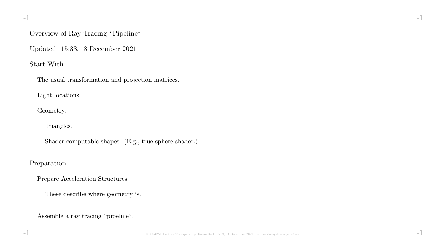### Overview of Ray Tracing "Pipeline"

Updated 15:33, 3 December 2021

### Start With

The usual transformation and projection matrices.

Light locations.

Geometry:

Triangles.

Shader-computable shapes. (E.g., true-sphere shader.)

### Preparation

Prepare Acceleration Structures

These describe where geometry is.

Assemble a ray tracing "pipeline".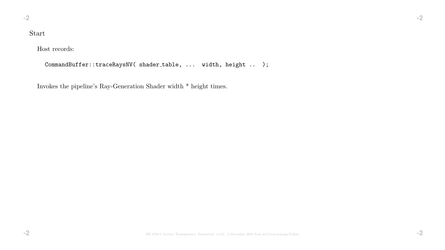# Start

Host records:

CommandBuffer::traceRaysNV( shader\_table, ... width, height .. );

Invokes the pipeline's Ray-Generation Shader width \* height times.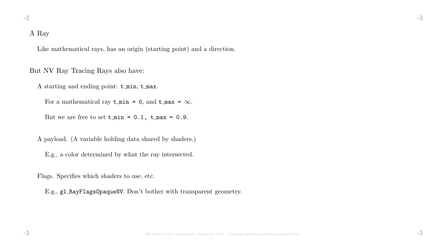# A Ray

Like mathematical rays, has an origin (starting point) and a direction.

But NV Ray Tracing Rays also have:

A starting and ending point: t min, t max.

For a mathematical ray  $\tan x = 0$ , and  $\tan x = \infty$ .

But we are free to set  $t_{min} = 0.1$ ,  $t_{max} = 0.9$ .

A payload. (A variable holding data shared by shaders.)

E.g., a color determined by what the ray intersected.

Flags. Specifies which shaders to use, etc.

E.g., gl RayFlagsOpaqueNV. Don't bother with transparent geometry.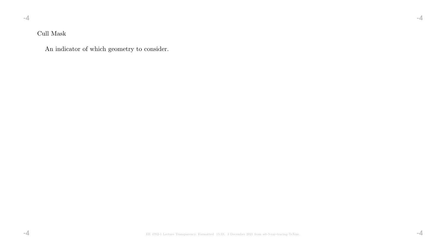## Cull Mask

An indicator of which geometry to consider.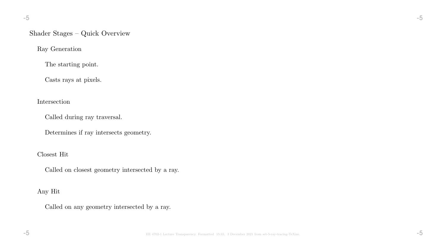### Shader Stages – Quick Overview

Ray Generation

The starting point.

Casts rays at pixels.

Intersection

Called during ray traversal.

Determines if ray intersects geometry.

Closest Hit

Called on closest geometry intersected by a ray.

Any Hit

Called on any geometry intersected by a ray.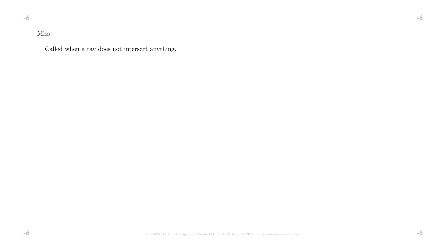### Miss

Called when a ray does not intersect anything.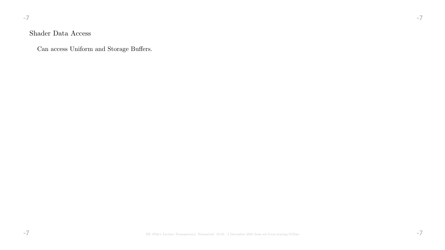#### -7 -7

## Shader Data Access

Can access Uniform and Storage Buffers.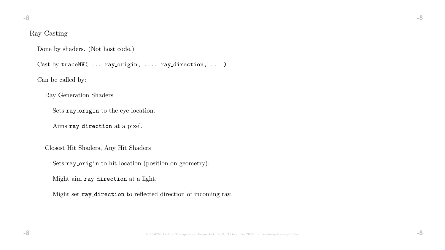### Ray Casting

Done by shaders. (Not host code.)

Cast by traceNV( .., ray\_origin, ..., ray\_direction, .. )

Can be called by:

Ray Generation Shaders

Sets ray origin to the eye location.

Aims ray direction at a pixel.

Closest Hit Shaders, Any Hit Shaders

Sets ray origin to hit location (position on geometry).

Might aim ray direction at a light.

Might set ray direction to reflected direction of incoming ray.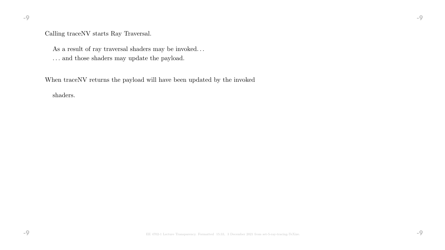### Calling traceNV starts Ray Traversal.

As a result of ray traversal shaders may be invoked.  $\ldots$ 

. . . and those shaders may update the payload.

When traceNV returns the payload will have been updated by the invoked

shaders.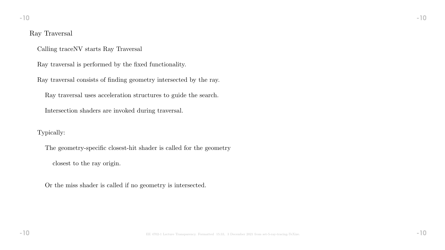#### Ray Traversal

Calling traceNV starts Ray Traversal

Ray traversal is performed by the fixed functionality.

Ray traversal consists of finding geometry intersected by the ray.

Ray traversal uses acceleration structures to guide the search.

Intersection shaders are invoked during traversal.

Typically:

The geometry-specific closest-hit shader is called for the geometry

closest to the ray origin.

Or the miss shader is called if no geometry is intersected.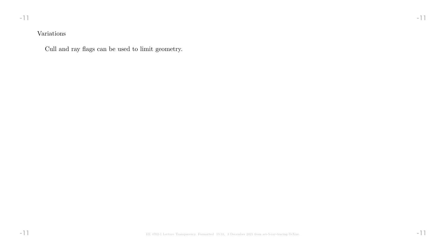### Variations

Cull and ray flags can be used to limit geometry.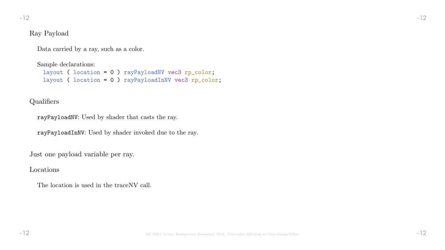### Ray Payload

Data carried by a ray, such as a color.

Sample declarations:

```
layout ( location = 0 ) rayPayloadNV vec3 rp_color;
layout ( location = 0 ) rayPayloadInNV vec3 rp_color;
```
# Qualifiers

rayPayloadNV: Used by shader that casts the ray.

rayPayloadInNV: Used by shader invoked due to the ray.

Just one payload variable per ray.

Locations

The location is used in the traceNV call.